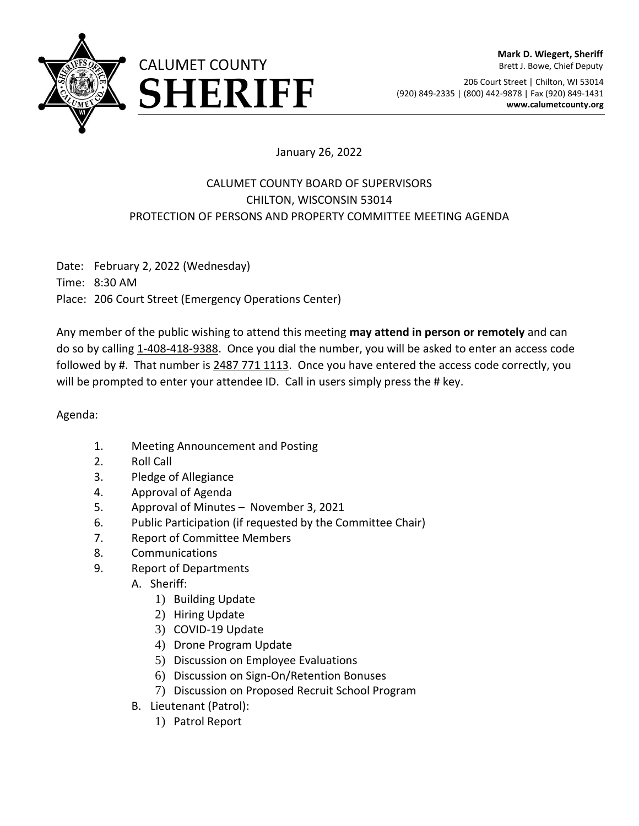

206 Court Street | Chilton, WI 53014 **ERRIFF** (920) 849-2335 | (800) 442-9878 | Fax (920) 849-1431 **SHERIFF** (920) 849-2335 | (800) 442-9878 | Fax (920) 849-1431

## January 26, 2022

## CALUMET COUNTY BOARD OF SUPERVISORS CHILTON, WISCONSIN 53014 PROTECTION OF PERSONS AND PROPERTY COMMITTEE MEETING AGENDA

Date: February 2, 2022 (Wednesday) Time: 8:30 AM Place: 206 Court Street (Emergency Operations Center)

Any member of the public wishing to attend this meeting **may attend in person or remotely** and can do so by calling 1-408-418-9388. Once you dial the number, you will be asked to enter an access code followed by #. That number is 2487 771 1113. Once you have entered the access code correctly, you will be prompted to enter your attendee ID. Call in users simply press the # key.

Agenda:

- 1. Meeting Announcement and Posting
- 2. Roll Call
- 3. Pledge of Allegiance
- 4. Approval of Agenda
- 5. Approval of Minutes November 3, 2021
- 6. Public Participation (if requested by the Committee Chair)
- 7. Report of Committee Members
- 8. Communications
- 9. Report of Departments
	- A. Sheriff:
		- 1) Building Update
		- 2) Hiring Update
		- 3) COVID-19 Update
		- 4) Drone Program Update
		- 5) Discussion on Employee Evaluations
		- 6) Discussion on Sign-On/Retention Bonuses
		- 7) Discussion on Proposed Recruit School Program
	- B. Lieutenant (Patrol):
		- 1) Patrol Report